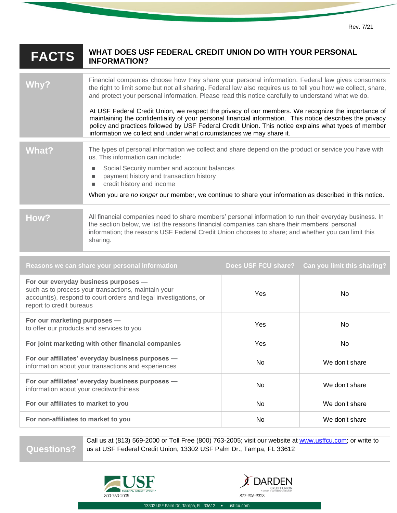| <b>FACTS</b>                                                                                                                                                                                | WHAT DOES USF FEDERAL CREDIT UNION DO WITH YOUR PERSONAL<br><b>INFORMATION?</b>                                                                                                                                                                                                                                                                                                                                                                                                                                                                                                                                                                                                                                           |                     |                             |
|---------------------------------------------------------------------------------------------------------------------------------------------------------------------------------------------|---------------------------------------------------------------------------------------------------------------------------------------------------------------------------------------------------------------------------------------------------------------------------------------------------------------------------------------------------------------------------------------------------------------------------------------------------------------------------------------------------------------------------------------------------------------------------------------------------------------------------------------------------------------------------------------------------------------------------|---------------------|-----------------------------|
| Why?                                                                                                                                                                                        | Financial companies choose how they share your personal information. Federal law gives consumers<br>the right to limit some but not all sharing. Federal law also requires us to tell you how we collect, share,<br>and protect your personal information. Please read this notice carefully to understand what we do.<br>At USF Federal Credit Union, we respect the privacy of our members. We recognize the importance of<br>maintaining the confidentiality of your personal financial information. This notice describes the privacy<br>policy and practices followed by USF Federal Credit Union. This notice explains what types of member<br>information we collect and under what circumstances we may share it. |                     |                             |
| What?                                                                                                                                                                                       | The types of personal information we collect and share depend on the product or service you have with<br>us. This information can include:<br>Social Security number and account balances<br>п<br>payment history and transaction history<br>п<br>credit history and income<br>п<br>When you are no longer our member, we continue to share your information as described in this notice.                                                                                                                                                                                                                                                                                                                                 |                     |                             |
| How?                                                                                                                                                                                        | All financial companies need to share members' personal information to run their everyday business. In<br>the section below, we list the reasons financial companies can share their members' personal<br>information; the reasons USF Federal Credit Union chooses to share; and whether you can limit this<br>sharing.                                                                                                                                                                                                                                                                                                                                                                                                  |                     |                             |
|                                                                                                                                                                                             | Reasons we can share your personal information                                                                                                                                                                                                                                                                                                                                                                                                                                                                                                                                                                                                                                                                            | Does USF FCU share? | Can you limit this sharing? |
| For our everyday business purposes -<br>such as to process your transactions, maintain your<br>account(s), respond to court orders and legal investigations, or<br>report to credit bureaus |                                                                                                                                                                                                                                                                                                                                                                                                                                                                                                                                                                                                                                                                                                                           | Yes                 | No                          |
| For our marketing purposes -<br>to offer our products and services to you                                                                                                                   |                                                                                                                                                                                                                                                                                                                                                                                                                                                                                                                                                                                                                                                                                                                           | Yes                 | No                          |
| For joint marketing with other financial companies                                                                                                                                          |                                                                                                                                                                                                                                                                                                                                                                                                                                                                                                                                                                                                                                                                                                                           | Yes                 | No                          |
| For our affiliates' everyday business purposes -<br>information about your transactions and experiences                                                                                     |                                                                                                                                                                                                                                                                                                                                                                                                                                                                                                                                                                                                                                                                                                                           | No                  | We don't share              |
| For our affiliates' everyday business purposes -<br>information about your creditworthiness                                                                                                 |                                                                                                                                                                                                                                                                                                                                                                                                                                                                                                                                                                                                                                                                                                                           | No                  | We don't share              |
| For our affiliates to market to you                                                                                                                                                         |                                                                                                                                                                                                                                                                                                                                                                                                                                                                                                                                                                                                                                                                                                                           | No                  | We don't share              |
| For non-affiliates to market to you                                                                                                                                                         |                                                                                                                                                                                                                                                                                                                                                                                                                                                                                                                                                                                                                                                                                                                           | No                  | We don't share              |

**Questions?**

Call us at (813) 569-2000 or Toll Free (800) 763-2005; visit our website at [www.usffcu.com;](http://www.usffcu.com/) or write to us at USF Federal Credit Union, 13302 USF Palm Dr., Tampa, FL 33612